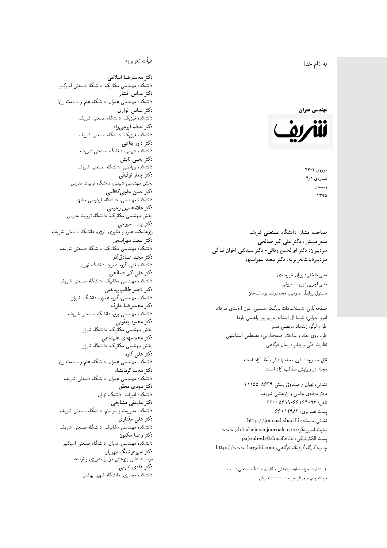#### $\overline{\phantom{a}}$ ز<br>ن به نام خدا .<br>.



دورەي ٢- ٣٢ شمارەي ۴٫۱ زمستان 1790

صاحب امتیاز: دانشگاه صنعتی شریف  $\mathfrak{c}$ مدیر مسئول: دکتر علیاکبر صالحی  $\mathfrak{c}$ سردبیران: دکتر ابوالحسن وفائی- دکتر سیدنقی اخوان نیاکی سردبیرهیاتتحر یر یه : دکتر سعید سهرابپور

> مدير داخلى: پوران خيرمندى<br>. مدير اجرايي: پريسا مروتي<br>. مسئول روابط عمومی: محمدرضا يوسفخان<br>.

: شمیلاسادات بزرگ:یاحسینی، غزل احمدی میرقائد<br>مسلسله امور اجرايي: شيما آل اسداله، مريم يورابراهيمي باوفا طراح لوگو: زندهیاد مرتضمی ممیز<br>ا طرح روى جلد و ساختار صفحه[رایی: مصطفى اسداللهی<br>بنالمستقد نظارت فنَّى و چاپ: پيمان فرگاهى<br>.

نقل مندرجات این مجله با ذکر مأخذ آزاد است.<br>مجله در ویرایش مطالب آزاد است.

نشانی: تهران / صندوق پستی ۸۶۳۹-۱۱۱۵۵ دفتر مجلهى علمى و پژوهشى شريف تلفن: ۶۶۰٬۶۴۰۹۳ - ۵۴۱۹-۶۶۰ یست تصویری: ۱۲۹۸۳ ۶۶۰ نشانی سایت: http://journal.sharif.ir<br>م سايت اسپرينگر: www.globalsciencejournals.com<br>دادم ساخت pajouhesh@sharif.edu ;يست الكترونيكي:  ${\rm http://www.fargahi.com}$  خاپ: کارگاه گرافیک فرگاهی،

از انتشارات حوزه معاونت پژوهش و فناوری دانشگاه صنعتی شریف قيمت جاپ ديجيتال هر جلد: ۲۰۰۰۰۰ ريال

### هيأت تحريريه

دكتر محمدرضا اسلامى مکانیک، دانشگاه صنعتی امیرکبیر<br>. دكتر عباس افشار دانشکده مهندسی عمران، دانشگاه علم و صنعت ایران<br>بحمد مصلحات دكتر عباس انوارى دانشکده فیزیک، دانشگاه صنعتبی شریف<br>محمد استانسا دکتر اعظم ايرجى زاد ، دانشگاه صنعتبی شریف<br>. دکتر داور بقاع**ی** دانشکده شیمی، دانشگاه صنعتی شریف<br>دکتر یحیی تابش دانشکده ریاضی، دانشگاه صنعتی شریف<br>برمسمنستانستان دكتر جعفر توفيقي بخش مهندسی شیمی، دانشگاه تربیت مدرس<br>سم دكتر حسن حاجىكاظمي دانشکده مهندسی، دانشگاه فردوسی مشهد<br>کستفلار م دكتر غلامحسين رحيمي هندسی مکانیک، دانشگاه تربیت مدرس<br>ا دکتر یدا... سبوحی پژوهشکده علوم و فناوری انرژی، دانشگاه صنعتبی شریف دکتر سعید سهرابپور<br>دانشکده مهندسی مکانیک، دانشگاه صنعتی شریف دکتر مجيد صادقاذر ا<br>. دانشکده فنی، گروه عمران، دانشگاه تهران دکتر علیاکبر صالحی = دانشکده مهندسی مکانیک، دانشگاه صنعتی شریف<br>یکستا دکتر ناصر طالب بیدختی r  $\mathfrak{c}$ دانشکده مهندسی، گروه عمران، دانشگاه شیراز<br>مکتب مصدر مقبل علم دكتر محمدرضا عارف دانشکده مهندسی برق، دانشگاه صنعتی شریف<br><mark>دکتر محمود یعقوبی</mark> هندسی مکانیک، دانشگاه شیراز<br>مسدوده مصلوفیاه دکتر محمدمهدی علیشاهی بخش مهندسی مکانیک، دانشگاه شیراز<br>مکتبهای کابی دکتر علی کاوہ دانشکده مهندسی عمران، دانشگاه علم و صنعت ایران<br>بحت دکتر محمد کرمانشاه .<br>. دانشکده مهندسی عمران، دانشگاه صنعتی شریف<br>مکتبر دولت مستق دکتر مهد*ی* محقق دانشکده ادبیات، دانشگاه تهران دکتر علینقی مشایخ<u>ی</u> دانشکده مدیریت و سیستم، دانشگاه صنعتبی شریف<br>محمد باید تعدا دکتر علی مقداری مکانیک، دانشگاه صنعتی شریف<br>. دكتر رضا مكنون دانشکده مهندسی عمران. دانشگاه صنعتی امیرکبیر<br>محمد است میگ دکتر امیرهوشنگ مهریار سه عالمی پژوهش در برنامهریزی و توسعه<br>۱۹ادم خار موسه<br>بر ءُ<br>ك دکتر هادی ندیمی  $\overline{a}$ م هذا المسلمان المسلمان المسلمان المسلمان المسلمان المسلمان المسلمان المسلمان المسلمان المسلمان المسلمان المسل<br>المسلمان المسلمان المسلمان المسلمان المسلمان المسلمان المسلمان المسلمان المسلمان المسلمان المسلمان المسلمان ال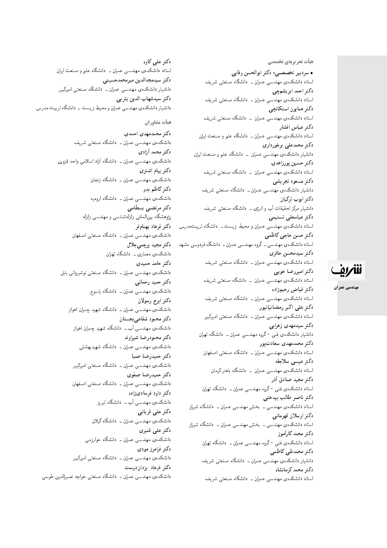هيأت تحريريهي تخصصي

• سردبیر تخصصی: دکتر ابوالحسن وفایی استاد دانشکدهی مهندسی عمران ــ دانشگاه صنعتی شریف دكتر احمد ابر يشمچي استاد دانشکدهی مهندسی عمران ــ دانشگاه صنعتی شریف دكتر همايون استكانچى استاد دانشکدهی مهندسی عمران - دانشگاه صنعتی شریف دكتر عباس افشار استاد دانشکدهی مهندسی عمران ــ دانشگاه علم و صنعت ایران دكتر محمدعلى برخورداري دانشیار دانشکدهی مهندسی عمران <mark>– دانشگاه علم و صنعت ایران</mark> دكتر حسين پورزاهدى استاد دانشکدهی مهندسی عمران \_ دانشگاه صنعتی شریف دكتر مسعود تجريشي دانشیار دانشکدهی مهندسی عمران ــ دانشگاه صنعتی شریف دكتر ايوب تركيان دانشیار مرکز تحقیقات آب و انرژی ــ دانشگاه صنعتی شریف دكتر عباسعلى تسنيمي استاد دانشکدهی مهندسی عمران و محیط زیست ـ دانشگاه تربیتمدرس دكتر حسن حاجى كاظمى استاد دانشکدهی مهندسی ــ گروه مهندسی عمران ــ دانشگاه فردوسی مشهد دكتر سيدمحسن حائرى استاد دانشکدهی مهندسی عمران ــ دانشگاه صنعتی شریف دكتر اميررضا خوبي استاد دانشکدهی مهندسی عمران – دانشگاه صنعتبی شریف دكتر فياض رحيمزإده استاد دانشکدهی مهندسی عمران ــ دانشگاه صنعتی شریف دکتر علی اکبر رمضانیانپور استاد دانشکدهی مهندسی عمران ــ دانشگاه صنعتی امیرکبیر دکتر سیدمهدی زهرایی دانشیار دانشکدهی فنی -گروه مهندسی عمران ــ دانشگاه تهران دكتر محمدمهدى سعادت پور استاد دانشکدهی مهندسی عمران ـــ دانشگاه صنعتی اصفهان دكتر عيسى سلاجقه استاد دانشکدهی مهندسی عمران – دانشگاه باهنر کرمان دكتر مجيد صادق أذر استاد دانشکدهی فنبی <sup>ـ</sup>گروه مهندسی عمران ــ دانشگاه تهران دكتر ناصر طالب بيدختي استاد دانشکدهی مهندسی ــ بخش مهندسی عمران ــ دانشگاه شیراز دكتر ارسلان قهرماني استاد دانشکدهی مهندسی ــ بخش مهندسی عمران ــ دانشگاه شیراز دكتر محمد كارأموز استاد دانشکدهی فنبی -گروه مهندسی عمران ــ دانشگاه تهران دكتر محمدتقي كاظمى دانشیار دانشکدهی مهندسی عمران ــ دانشگاه صنعتبی شریف دكتر محمد كرمانشاه

استاد دانشکدهی مهندسی عمران ــ دانشگاه صنعتی شریف

دکتر علمی کاوه استاد دانشکدهی مهندسی عمران ــ دانشگاه علم و صنعت ایران دكتر سيدمجدالدين ميرمحمدحسيني دانشیار دانشکدهی مهندسی عمران ــ دانشگاه صنعتبی امیرکبیر دكتر سيدشهاب الدين يثر ب*ي* دانشیار دانشکدهی مهندسی عمران و محیط زیست \_ دانشگاه تربیت مدرس

هيأت مشاوران

دكتر محمدمهدى احمدى دانشکدهی مهندسی عمران ــ دانشگاه صنعتی شریف دکتر محمد آزاد*ی* دانشکدهی مهندسی عمران ــ دانشگاه آزاد اسلامی واحد قزوین دكتر پيام اشترى دانشکده، مهندسی عمران ــ دانشگاه زنجان دکتر کاظم بدو دانشکده، مهندسی عمران ــ دانشگاه ارومیه دكتر مرتضى بسطامى پژوهشگاه بین|لمللبی زلزلهشناسبی و مهندسبی زلزله دكتر فرهاد بهنامفر دانشکدهی مهندسی عمران ــ دانشگاه صنعتی اصفهان دكتر مجيد پرچمي جلال دانشکدهی معماری ــ دانشگاه تهران دكتر حامد حميدى دانشکده ی مهندسی عمران ــ دانشگاه صنعتی نوشیروانی بابل دكتر حميد رحماني دانشکده یمهندسی عمران ــ دانشگاه یاسوج دكتر ايرج رسولان دانشکدهی مهندسی عمران ــ دانشگاه شهید چمران اهواز دكتر محمود شفاعي بجستان دانشکدهی مهندسی آب ــ دانشگاه شهید چمران اهواز دكتر محمودرضا شيراوند دانشکدهی مهندسی عمران ــ دانشگاه شهیدبهشتی دكتر حميدرضا صبا دانشکدهی مهندسی عمران ــ دانشگاه صنعتی امیرکبیر دكتر حميدرضا صفوى دانشکدهی مهندسی عمران ــ دانشگاه صنعتی اصفهان دکتر داود فرساد*ی زاده* دانشکدهی مهندسی آب \_ دانشگاه تبریز دكتر على قربانى دانشکدهی مهندسی عمران ــ دانشگاه گیلان دكتر على قنبرى دانشکدهی مهندسی عمران ــ دانشگاه خوارزمی دكتر فرامرز مودى دانشکدهی مهندسی عمران ــ دانشگاه صنعتی امیرکبیر دکتر فرهاد بزداندوست دانشکدهی مهندسی عمران ــ دانشگاه صنعتی خواجه نصیرالدین طوسی

للمريق

مهندسي عمران